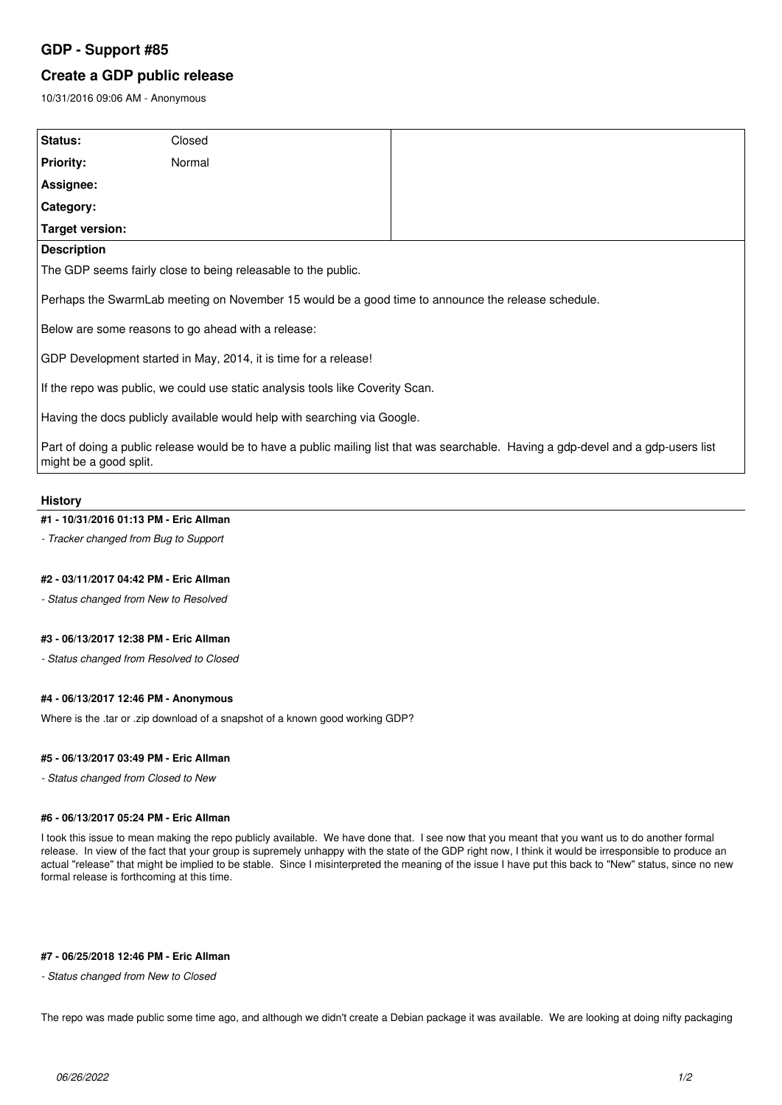# **GDP - Support #85**

# **Create a GDP public release**

10/31/2016 09:06 AM - Anonymous

| Status:                                                                                                                                                      | Closed |  |
|--------------------------------------------------------------------------------------------------------------------------------------------------------------|--------|--|
| <b>Priority:</b>                                                                                                                                             | Normal |  |
| Assignee:                                                                                                                                                    |        |  |
| Category:                                                                                                                                                    |        |  |
| Target version:                                                                                                                                              |        |  |
| <b>Description</b>                                                                                                                                           |        |  |
| The GDP seems fairly close to being releasable to the public.                                                                                                |        |  |
| Perhaps the SwarmLab meeting on November 15 would be a good time to announce the release schedule.                                                           |        |  |
| Below are some reasons to go ahead with a release:                                                                                                           |        |  |
| GDP Development started in May, 2014, it is time for a release!                                                                                              |        |  |
| If the repo was public, we could use static analysis tools like Coverity Scan.                                                                               |        |  |
| Having the docs publicly available would help with searching via Google.                                                                                     |        |  |
| Part of doing a public release would be to have a public mailing list that was searchable. Having a gdp-devel and a gdp-users list<br>might be a good split. |        |  |

## **History**

#### **#1 - 10/31/2016 01:13 PM - Eric Allman**

*- Tracker changed from Bug to Support*

## **#2 - 03/11/2017 04:42 PM - Eric Allman**

*- Status changed from New to Resolved*

## **#3 - 06/13/2017 12:38 PM - Eric Allman**

*- Status changed from Resolved to Closed*

### **#4 - 06/13/2017 12:46 PM - Anonymous**

Where is the .tar or .zip download of a snapshot of a known good working GDP?

#### **#5 - 06/13/2017 03:49 PM - Eric Allman**

*- Status changed from Closed to New*

#### **#6 - 06/13/2017 05:24 PM - Eric Allman**

I took this issue to mean making the repo publicly available. We have done that. I see now that you meant that you want us to do another formal release. In view of the fact that your group is supremely unhappy with the state of the GDP right now, I think it would be irresponsible to produce an actual "release" that might be implied to be stable. Since I misinterpreted the meaning of the issue I have put this back to "New" status, since no new formal release is forthcoming at this time.

### **#7 - 06/25/2018 12:46 PM - Eric Allman**

*- Status changed from New to Closed*

The repo was made public some time ago, and although we didn't create a Debian package it was available. We are looking at doing nifty packaging